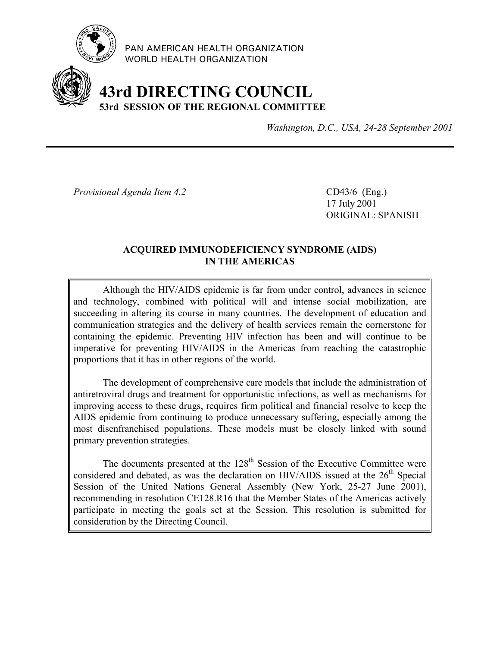

PAN AMERICAN HEALTH ORGANIZATION WORLD HEALTH ORGANIZATION

# **43rd DIRECTING COUNCIL 53rd SESSION OF THE REGIONAL COMMITTEE**

*Washington, D.C., USA, 24-28 September 2001*

*Provisional Agenda Item 4.2* CD43/6 (Eng.)

17 July 2001 ORIGINAL: SPANISH

# **ACQUIRED IMMUNODEFICIENCY SYNDROME (AIDS) IN THE AMERICAS**

Although the HIV/AIDS epidemic is far from under control, advances in science and technology, combined with political will and intense social mobilization, are succeeding in altering its course in many countries. The development of education and communication strategies and the delivery of health services remain the cornerstone for containing the epidemic. Preventing HIV infection has been and will continue to be imperative for preventing HIV/AIDS in the Americas from reaching the catastrophic proportions that it has in other regions of the world.

The development of comprehensive care models that include the administration of antiretroviral drugs and treatment for opportunistic infections, as well as mechanisms for improving access to these drugs, requires firm political and financial resolve to keep the AIDS epidemic from continuing to produce unnecessary suffering, especially among the most disenfranchised populations. These models must be closely linked with sound primary prevention strategies.

The documents presented at the  $128<sup>th</sup>$  Session of the Executive Committee were considered and debated, as was the declaration on HIV/AIDS issued at the  $26<sup>th</sup>$  Special Session of the United Nations General Assembly (New York, 25-27 June 2001), recommending in resolution CE128.R16 that the Member States of the Americas actively participate in meeting the goals set at the Session. This resolution is submitted for consideration by the Directing Council.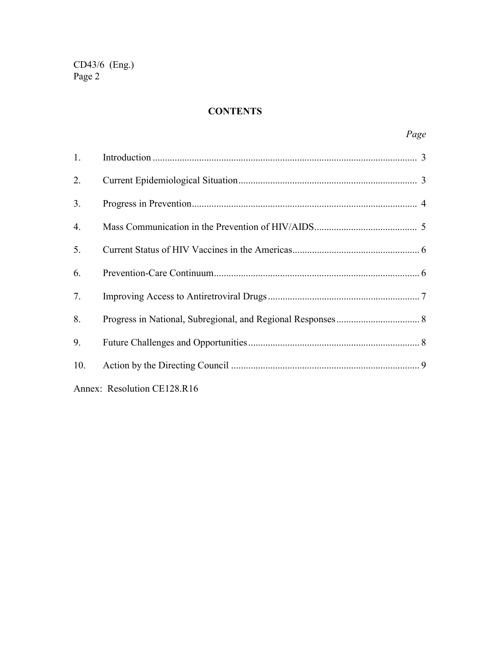# **CONTENTS**

| 1.                          |  |  |
|-----------------------------|--|--|
| 2.                          |  |  |
| 3.                          |  |  |
| 4.                          |  |  |
| 5.                          |  |  |
| 6.                          |  |  |
| 7.                          |  |  |
| 8.                          |  |  |
| 9.                          |  |  |
| 10.                         |  |  |
| Annex: Resolution CE128.R16 |  |  |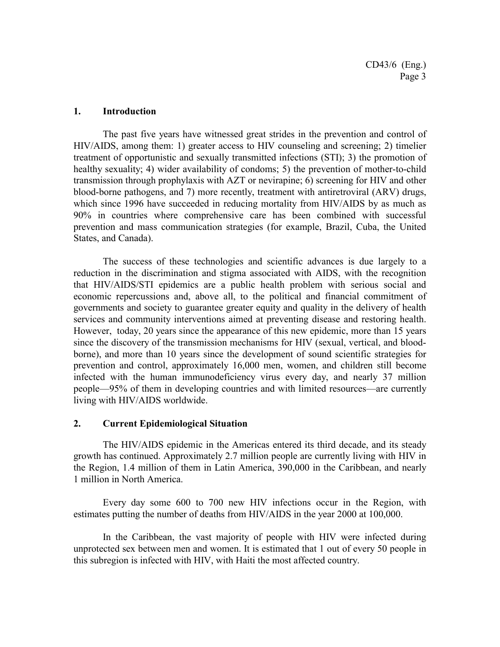#### **1. Introduction**

The past five years have witnessed great strides in the prevention and control of HIV/AIDS, among them: 1) greater access to HIV counseling and screening; 2) timelier treatment of opportunistic and sexually transmitted infections (STI); 3) the promotion of healthy sexuality; 4) wider availability of condoms; 5) the prevention of mother-to-child transmission through prophylaxis with AZT or nevirapine; 6) screening for HIV and other blood-borne pathogens, and 7) more recently, treatment with antiretroviral (ARV) drugs, which since 1996 have succeeded in reducing mortality from HIV/AIDS by as much as 90% in countries where comprehensive care has been combined with successful prevention and mass communication strategies (for example, Brazil, Cuba, the United States, and Canada).

The success of these technologies and scientific advances is due largely to a reduction in the discrimination and stigma associated with AIDS, with the recognition that HIV/AIDS/STI epidemics are a public health problem with serious social and economic repercussions and, above all, to the political and financial commitment of governments and society to guarantee greater equity and quality in the delivery of health services and community interventions aimed at preventing disease and restoring health. However, today, 20 years since the appearance of this new epidemic, more than 15 years since the discovery of the transmission mechanisms for HIV (sexual, vertical, and bloodborne), and more than 10 years since the development of sound scientific strategies for prevention and control, approximately 16,000 men, women, and children still become infected with the human immunodeficiency virus every day, and nearly 37 million people—95% of them in developing countries and with limited resources—are currently living with HIV/AIDS worldwide.

#### **2. Current Epidemiological Situation**

The HIV/AIDS epidemic in the Americas entered its third decade, and its steady growth has continued. Approximately 2.7 million people are currently living with HIV in the Region, 1.4 million of them in Latin America, 390,000 in the Caribbean, and nearly 1 million in North America.

Every day some 600 to 700 new HIV infections occur in the Region, with estimates putting the number of deaths from HIV/AIDS in the year 2000 at 100,000.

In the Caribbean, the vast majority of people with HIV were infected during unprotected sex between men and women. It is estimated that 1 out of every 50 people in this subregion is infected with HIV, with Haiti the most affected country.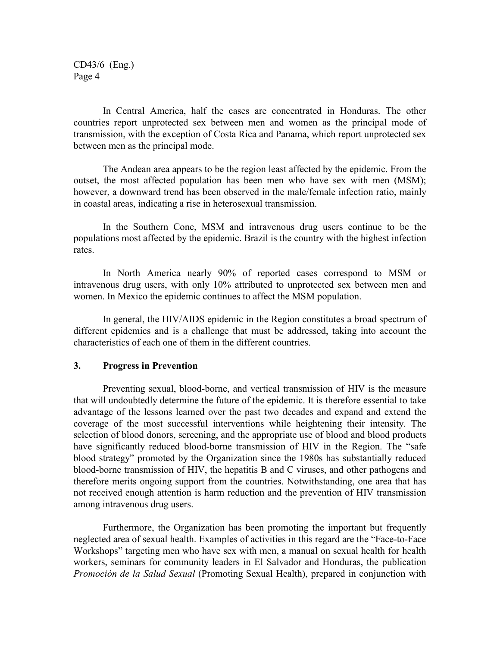In Central America, half the cases are concentrated in Honduras. The other countries report unprotected sex between men and women as the principal mode of transmission, with the exception of Costa Rica and Panama, which report unprotected sex between men as the principal mode.

The Andean area appears to be the region least affected by the epidemic. From the outset, the most affected population has been men who have sex with men (MSM); however, a downward trend has been observed in the male/female infection ratio, mainly in coastal areas, indicating a rise in heterosexual transmission.

In the Southern Cone, MSM and intravenous drug users continue to be the populations most affected by the epidemic. Brazil is the country with the highest infection rates.

In North America nearly 90% of reported cases correspond to MSM or intravenous drug users, with only 10% attributed to unprotected sex between men and women. In Mexico the epidemic continues to affect the MSM population.

In general, the HIV/AIDS epidemic in the Region constitutes a broad spectrum of different epidemics and is a challenge that must be addressed, taking into account the characteristics of each one of them in the different countries.

#### **3. Progress in Prevention**

Preventing sexual, blood-borne, and vertical transmission of HIV is the measure that will undoubtedly determine the future of the epidemic. It is therefore essential to take advantage of the lessons learned over the past two decades and expand and extend the coverage of the most successful interventions while heightening their intensity. The selection of blood donors, screening, and the appropriate use of blood and blood products have significantly reduced blood-borne transmission of HIV in the Region. The "safe blood strategy" promoted by the Organization since the 1980s has substantially reduced blood-borne transmission of HIV, the hepatitis B and C viruses, and other pathogens and therefore merits ongoing support from the countries. Notwithstanding, one area that has not received enough attention is harm reduction and the prevention of HIV transmission among intravenous drug users.

Furthermore, the Organization has been promoting the important but frequently neglected area of sexual health. Examples of activities in this regard are the "Face-to-Face Workshops" targeting men who have sex with men, a manual on sexual health for health workers, seminars for community leaders in El Salvador and Honduras, the publication *Promoción de la Salud Sexual* (Promoting Sexual Health), prepared in conjunction with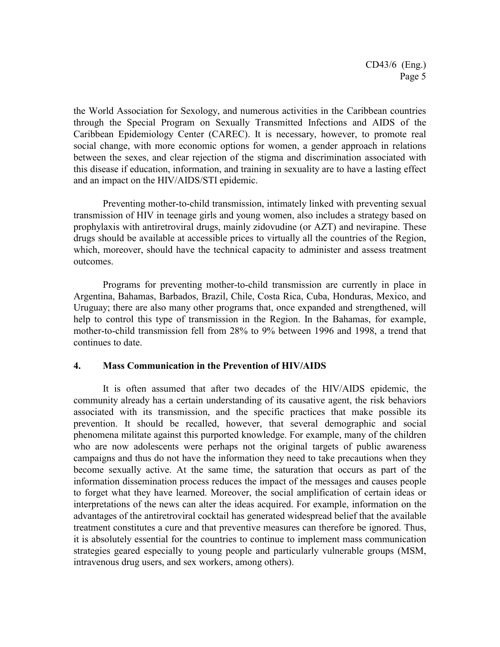the World Association for Sexology, and numerous activities in the Caribbean countries through the Special Program on Sexually Transmitted Infections and AIDS of the Caribbean Epidemiology Center (CAREC). It is necessary, however, to promote real social change, with more economic options for women, a gender approach in relations between the sexes, and clear rejection of the stigma and discrimination associated with this disease if education, information, and training in sexuality are to have a lasting effect and an impact on the HIV/AIDS/STI epidemic.

Preventing mother-to-child transmission, intimately linked with preventing sexual transmission of HIV in teenage girls and young women, also includes a strategy based on prophylaxis with antiretroviral drugs, mainly zidovudine (or AZT) and nevirapine. These drugs should be available at accessible prices to virtually all the countries of the Region, which, moreover, should have the technical capacity to administer and assess treatment outcomes.

Programs for preventing mother-to-child transmission are currently in place in Argentina, Bahamas, Barbados, Brazil, Chile, Costa Rica, Cuba, Honduras, Mexico, and Uruguay; there are also many other programs that, once expanded and strengthened, will help to control this type of transmission in the Region. In the Bahamas, for example, mother-to-child transmission fell from 28% to 9% between 1996 and 1998, a trend that continues to date.

# **4. Mass Communication in the Prevention of HIV/AIDS**

It is often assumed that after two decades of the HIV/AIDS epidemic, the community already has a certain understanding of its causative agent, the risk behaviors associated with its transmission, and the specific practices that make possible its prevention. It should be recalled, however, that several demographic and social phenomena militate against this purported knowledge. For example, many of the children who are now adolescents were perhaps not the original targets of public awareness campaigns and thus do not have the information they need to take precautions when they become sexually active. At the same time, the saturation that occurs as part of the information dissemination process reduces the impact of the messages and causes people to forget what they have learned. Moreover, the social amplification of certain ideas or interpretations of the news can alter the ideas acquired. For example, information on the advantages of the antiretroviral cocktail has generated widespread belief that the available treatment constitutes a cure and that preventive measures can therefore be ignored. Thus, it is absolutely essential for the countries to continue to implement mass communication strategies geared especially to young people and particularly vulnerable groups (MSM, intravenous drug users, and sex workers, among others).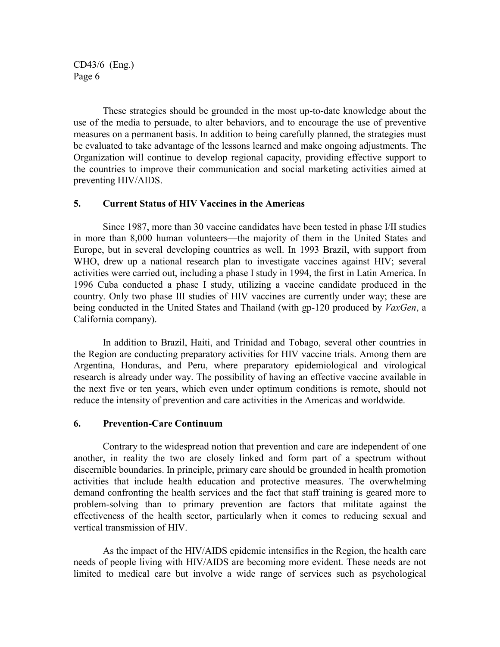These strategies should be grounded in the most up-to-date knowledge about the use of the media to persuade, to alter behaviors, and to encourage the use of preventive measures on a permanent basis. In addition to being carefully planned, the strategies must be evaluated to take advantage of the lessons learned and make ongoing adjustments. The Organization will continue to develop regional capacity, providing effective support to the countries to improve their communication and social marketing activities aimed at preventing HIV/AIDS.

#### **5. Current Status of HIV Vaccines in the Americas**

Since 1987, more than 30 vaccine candidates have been tested in phase I/II studies in more than 8,000 human volunteers—the majority of them in the United States and Europe, but in several developing countries as well. In 1993 Brazil, with support from WHO, drew up a national research plan to investigate vaccines against HIV; several activities were carried out, including a phase I study in 1994, the first in Latin America. In 1996 Cuba conducted a phase I study, utilizing a vaccine candidate produced in the country. Only two phase III studies of HIV vaccines are currently under way; these are being conducted in the United States and Thailand (with gp-120 produced by *VaxGen*, a California company).

In addition to Brazil, Haiti, and Trinidad and Tobago, several other countries in the Region are conducting preparatory activities for HIV vaccine trials. Among them are Argentina, Honduras, and Peru, where preparatory epidemiological and virological research is already under way. The possibility of having an effective vaccine available in the next five or ten years, which even under optimum conditions is remote, should not reduce the intensity of prevention and care activities in the Americas and worldwide.

#### **6. Prevention-Care Continuum**

Contrary to the widespread notion that prevention and care are independent of one another, in reality the two are closely linked and form part of a spectrum without discernible boundaries. In principle, primary care should be grounded in health promotion activities that include health education and protective measures. The overwhelming demand confronting the health services and the fact that staff training is geared more to problem-solving than to primary prevention are factors that militate against the effectiveness of the health sector, particularly when it comes to reducing sexual and vertical transmission of HIV.

As the impact of the HIV/AIDS epidemic intensifies in the Region, the health care needs of people living with HIV/AIDS are becoming more evident. These needs are not limited to medical care but involve a wide range of services such as psychological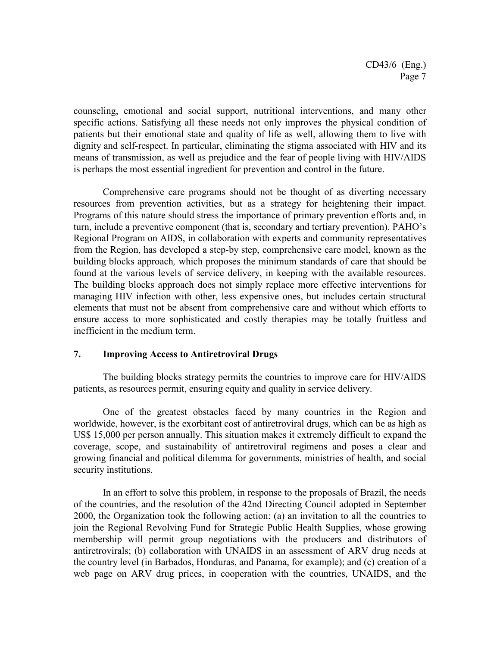counseling, emotional and social support, nutritional interventions, and many other specific actions. Satisfying all these needs not only improves the physical condition of patients but their emotional state and quality of life as well, allowing them to live with dignity and self-respect. In particular, eliminating the stigma associated with HIV and its means of transmission, as well as prejudice and the fear of people living with HIV/AIDS is perhaps the most essential ingredient for prevention and control in the future.

Comprehensive care programs should not be thought of as diverting necessary resources from prevention activities, but as a strategy for heightening their impact. Programs of this nature should stress the importance of primary prevention efforts and, in turn, include a preventive component (that is, secondary and tertiary prevention). PAHO's Regional Program on AIDS, in collaboration with experts and community representatives from the Region, has developed a step-by step, comprehensive care model, known as the building blocks approach*,* which proposes the minimum standards of care that should be found at the various levels of service delivery, in keeping with the available resources. The building blocks approach does not simply replace more effective interventions for managing HIV infection with other, less expensive ones, but includes certain structural elements that must not be absent from comprehensive care and without which efforts to ensure access to more sophisticated and costly therapies may be totally fruitless and inefficient in the medium term.

### **7. Improving Access to Antiretroviral Drugs**

The building blocks strategy permits the countries to improve care for HIV/AIDS patients, as resources permit, ensuring equity and quality in service delivery.

One of the greatest obstacles faced by many countries in the Region and worldwide, however, is the exorbitant cost of antiretroviral drugs, which can be as high as US\$ 15,000 per person annually. This situation makes it extremely difficult to expand the coverage, scope, and sustainability of antiretroviral regimens and poses a clear and growing financial and political dilemma for governments, ministries of health, and social security institutions.

In an effort to solve this problem, in response to the proposals of Brazil, the needs of the countries, and the resolution of the 42nd Directing Council adopted in September 2000, the Organization took the following action: (a) an invitation to all the countries to join the Regional Revolving Fund for Strategic Public Health Supplies, whose growing membership will permit group negotiations with the producers and distributors of antiretrovirals; (b) collaboration with UNAIDS in an assessment of ARV drug needs at the country level (in Barbados, Honduras, and Panama, for example); and (c) creation of a web page on ARV drug prices, in cooperation with the countries, UNAIDS, and the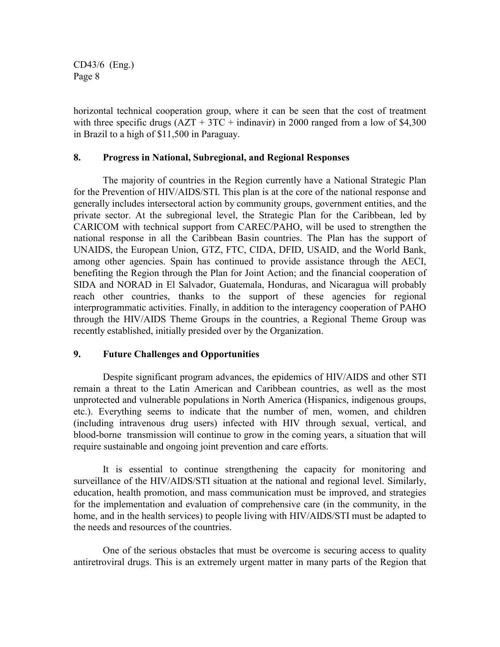horizontal technical cooperation group, where it can be seen that the cost of treatment with three specific drugs  $(AZT + 3TC + \text{indinavir})$  in 2000 ranged from a low of \$4,300 in Brazil to a high of \$11,500 in Paraguay.

## **8. Progress in National, Subregional, and Regional Responses**

The majority of countries in the Region currently have a National Strategic Plan for the Prevention of HIV/AIDS/STI. This plan is at the core of the national response and generally includes intersectoral action by community groups, government entities, and the private sector. At the subregional level, the Strategic Plan for the Caribbean, led by CARICOM with technical support from CAREC/PAHO, will be used to strengthen the national response in all the Caribbean Basin countries. The Plan has the support of UNAIDS, the European Union, GTZ, FTC, CIDA, DFID, USAID, and the World Bank, among other agencies. Spain has continued to provide assistance through the AECI, benefiting the Region through the Plan for Joint Action; and the financial cooperation of SIDA and NORAD in El Salvador, Guatemala, Honduras, and Nicaragua will probably reach other countries, thanks to the support of these agencies for regional interprogrammatic activities. Finally, in addition to the interagency cooperation of PAHO through the HIV/AIDS Theme Groups in the countries, a Regional Theme Group was recently established, initially presided over by the Organization.

# **9. Future Challenges and Opportunities**

Despite significant program advances, the epidemics of HIV/AIDS and other STI remain a threat to the Latin American and Caribbean countries, as well as the most unprotected and vulnerable populations in North America (Hispanics, indigenous groups, etc.). Everything seems to indicate that the number of men, women, and children (including intravenous drug users) infected with HIV through sexual, vertical, and blood-borne transmission will continue to grow in the coming years, a situation that will require sustainable and ongoing joint prevention and care efforts.

It is essential to continue strengthening the capacity for monitoring and surveillance of the HIV/AIDS/STI situation at the national and regional level. Similarly, education, health promotion, and mass communication must be improved, and strategies for the implementation and evaluation of comprehensive care (in the community, in the home, and in the health services) to people living with HIV/AIDS/STI must be adapted to the needs and resources of the countries.

One of the serious obstacles that must be overcome is securing access to quality antiretroviral drugs. This is an extremely urgent matter in many parts of the Region that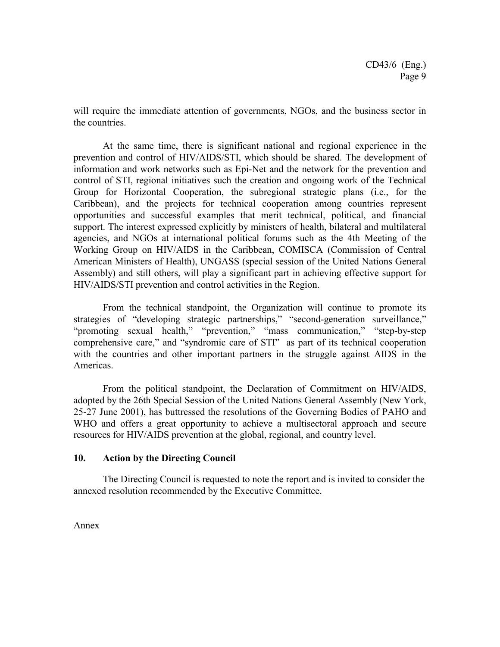will require the immediate attention of governments, NGOs, and the business sector in the countries.

At the same time, there is significant national and regional experience in the prevention and control of HIV/AIDS/STI, which should be shared. The development of information and work networks such as Epi-Net and the network for the prevention and control of STI, regional initiatives such the creation and ongoing work of the Technical Group for Horizontal Cooperation, the subregional strategic plans (i.e., for the Caribbean), and the projects for technical cooperation among countries represent opportunities and successful examples that merit technical, political, and financial support. The interest expressed explicitly by ministers of health, bilateral and multilateral agencies, and NGOs at international political forums such as the 4th Meeting of the Working Group on HIV/AIDS in the Caribbean, COMISCA (Commission of Central American Ministers of Health), UNGASS (special session of the United Nations General Assembly) and still others, will play a significant part in achieving effective support for HIV/AIDS/STI prevention and control activities in the Region.

From the technical standpoint, the Organization will continue to promote its strategies of "developing strategic partnerships," "second-generation surveillance," "promoting sexual health," "prevention," "mass communication," "step-by-step comprehensive care," and "syndromic care of STI" as part of its technical cooperation with the countries and other important partners in the struggle against AIDS in the Americas.

From the political standpoint, the Declaration of Commitment on HIV/AIDS, adopted by the 26th Special Session of the United Nations General Assembly (New York, 25-27 June 2001), has buttressed the resolutions of the Governing Bodies of PAHO and WHO and offers a great opportunity to achieve a multisectoral approach and secure resources for HIV/AIDS prevention at the global, regional, and country level.

#### **10. Action by the Directing Council**

The Directing Council is requested to note the report and is invited to consider the annexed resolution recommended by the Executive Committee.

Annex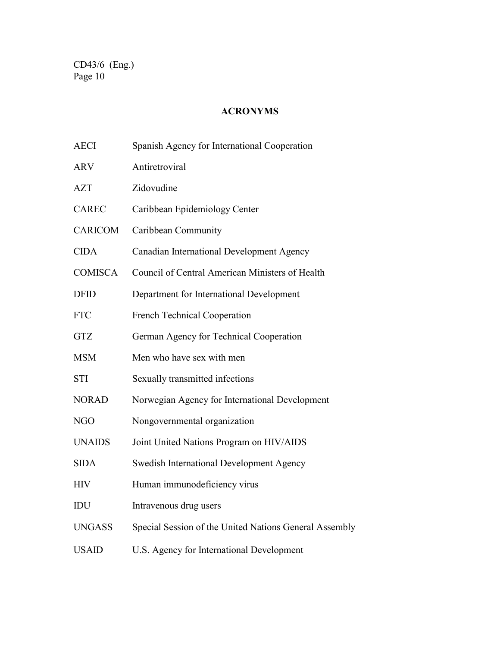# **ACRONYMS**

| <b>AECI</b>    | Spanish Agency for International Cooperation           |
|----------------|--------------------------------------------------------|
| <b>ARV</b>     | Antiretroviral                                         |
| <b>AZT</b>     | Zidovudine                                             |
| <b>CAREC</b>   | Caribbean Epidemiology Center                          |
| <b>CARICOM</b> | Caribbean Community                                    |
| <b>CIDA</b>    | Canadian International Development Agency              |
| <b>COMISCA</b> | Council of Central American Ministers of Health        |
| <b>DFID</b>    | Department for International Development               |
| <b>FTC</b>     | <b>French Technical Cooperation</b>                    |
| <b>GTZ</b>     | German Agency for Technical Cooperation                |
| <b>MSM</b>     | Men who have sex with men                              |
| <b>STI</b>     | Sexually transmitted infections                        |
| <b>NORAD</b>   | Norwegian Agency for International Development         |
| NGO            | Nongovernmental organization                           |
| <b>UNAIDS</b>  | Joint United Nations Program on HIV/AIDS               |
| <b>SIDA</b>    | <b>Swedish International Development Agency</b>        |
| <b>HIV</b>     | Human immunodeficiency virus                           |
| IDU            | Intravenous drug users                                 |
| <b>UNGASS</b>  | Special Session of the United Nations General Assembly |
| <b>USAID</b>   | U.S. Agency for International Development              |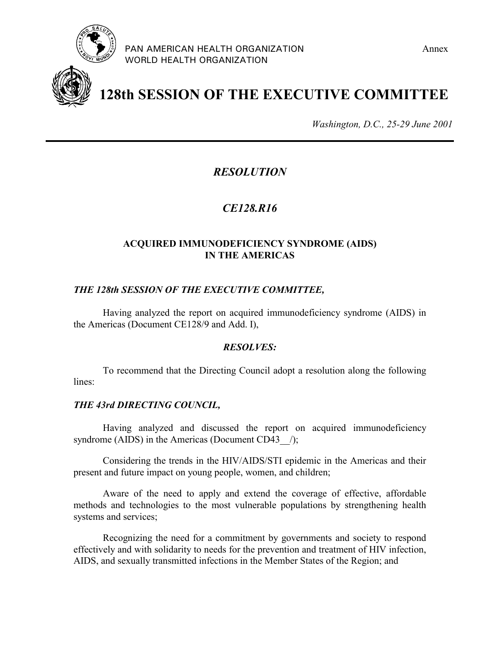



**128th SESSION OF THE EXECUTIVE COMMITTEE**

*Washington, D.C., 25-29 June 2001*

# *RESOLUTION*

# *CE128.R16*

# **ACQUIRED IMMUNODEFICIENCY SYNDROME (AIDS) IN THE AMERICAS**

# *THE 128th SESSION OF THE EXECUTIVE COMMITTEE,*

Having analyzed the report on acquired immunodeficiency syndrome (AIDS) in the Americas (Document CE128/9 and Add. I),

#### *RESOLVES:*

To recommend that the Directing Council adopt a resolution along the following lines:

# *THE 43rd DIRECTING COUNCIL,*

Having analyzed and discussed the report on acquired immunodeficiency syndrome (AIDS) in the Americas (Document CD43  $\rightarrow$ );

Considering the trends in the HIV/AIDS/STI epidemic in the Americas and their present and future impact on young people, women, and children;

Aware of the need to apply and extend the coverage of effective, affordable methods and technologies to the most vulnerable populations by strengthening health systems and services;

Recognizing the need for a commitment by governments and society to respond effectively and with solidarity to needs for the prevention and treatment of HIV infection, AIDS, and sexually transmitted infections in the Member States of the Region; and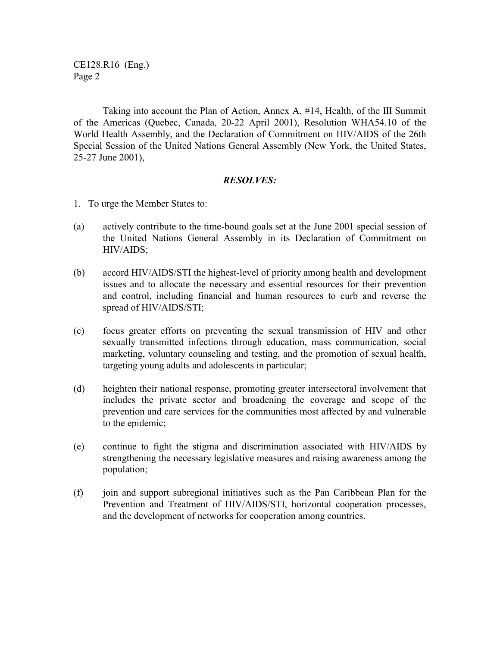CE128.R16 (Eng.) Page 2

Taking into account the Plan of Action, Annex A, #14, Health, of the III Summit of the Americas (Quebec, Canada, 20-22 April 2001), Resolution WHA54.10 of the World Health Assembly, and the Declaration of Commitment on HIV/AIDS of the 26th Special Session of the United Nations General Assembly (New York, the United States, 25-27 June 2001),

#### *RESOLVES:*

- 1. To urge the Member States to:
- (a) actively contribute to the time-bound goals set at the June 2001 special session of the United Nations General Assembly in its Declaration of Commitment on HIV/AIDS;
- (b) accord HIV/AIDS/STI the highest-level of priority among health and development issues and to allocate the necessary and essential resources for their prevention and control, including financial and human resources to curb and reverse the spread of HIV/AIDS/STI;
- (c) focus greater efforts on preventing the sexual transmission of HIV and other sexually transmitted infections through education, mass communication, social marketing, voluntary counseling and testing, and the promotion of sexual health, targeting young adults and adolescents in particular;
- (d) heighten their national response, promoting greater intersectoral involvement that includes the private sector and broadening the coverage and scope of the prevention and care services for the communities most affected by and vulnerable to the epidemic;
- (e) continue to fight the stigma and discrimination associated with HIV/AIDS by strengthening the necessary legislative measures and raising awareness among the population;
- (f) join and support subregional initiatives such as the Pan Caribbean Plan for the Prevention and Treatment of HIV/AIDS/STI, horizontal cooperation processes, and the development of networks for cooperation among countries.